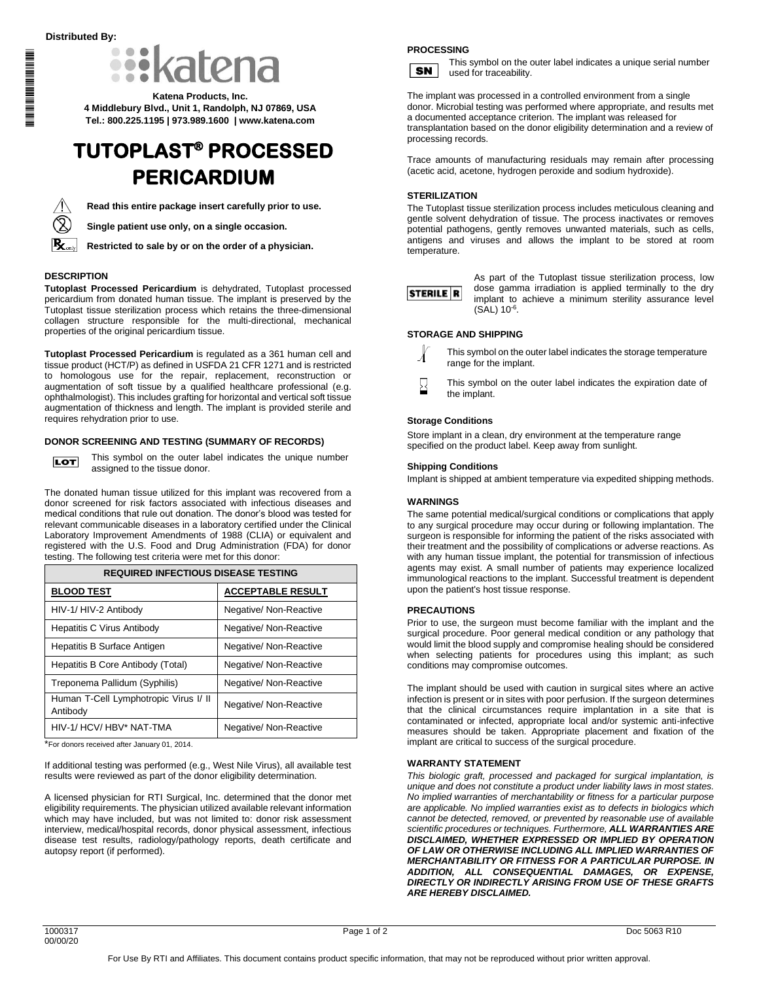**THE REAL PROPERTY AND REAL PROPE** \*1000317\*1000317\*1000317\*1000317\*1000317\*1000317\*1000317\*1000317\*1000317\*1000317



**Katena Products, Inc. 4 Middlebury Blvd., Unit 1, Randolph, NJ 07869, USA Tel.: 800.225.1195 | 973.989.1600 | www.katena.com**

# **TUTOPLAST® PROCESSED PERICARDIUM**



**Read this entire package insert carefully prior to use.**

**Single patient use only, on a single occasion.**

**Restricted to sale by or on the order of a physician.**

## **DESCRIPTION**

**Tutoplast Processed Pericardium** is dehydrated, Tutoplast processed pericardium from donated human tissue. The implant is preserved by the Tutoplast tissue sterilization process which retains the three-dimensional collagen structure responsible for the multi-directional, mechanical properties of the original pericardium tissue.

**Tutoplast Processed Pericardium** is regulated as a 361 human cell and tissue product (HCT/P) as defined in USFDA 21 CFR 1271 and is restricted to homologous use for the repair, replacement, reconstruction or augmentation of soft tissue by a qualified healthcare professional (e.g. ophthalmologist). This includes grafting for horizontal and vertical soft tissue augmentation of thickness and length. The implant is provided sterile and requires rehydration prior to use.

## **DONOR SCREENING AND TESTING (SUMMARY OF RECORDS)**



This symbol on the outer label indicates the unique number assigned to the tissue donor.

The donated human tissue utilized for this implant was recovered from a donor screened for risk factors associated with infectious diseases and medical conditions that rule out donation. The donor's blood was tested for relevant communicable diseases in a laboratory certified under the Clinical Laboratory Improvement Amendments of 1988 (CLIA) or equivalent and registered with the U.S. Food and Drug Administration (FDA) for donor testing. The following test criteria were met for this donor:

| <b>REQUIRED INFECTIOUS DISEASE TESTING</b>        |                          |  |
|---------------------------------------------------|--------------------------|--|
| <b>BLOOD TEST</b>                                 | <b>ACCEPTABLE RESULT</b> |  |
| HIV-1/ HIV-2 Antibody                             | Negative/ Non-Reactive   |  |
| <b>Hepatitis C Virus Antibody</b>                 | Negative/ Non-Reactive   |  |
| Hepatitis B Surface Antigen                       | Negative/ Non-Reactive   |  |
| Hepatitis B Core Antibody (Total)                 | Negative/ Non-Reactive   |  |
| Treponema Pallidum (Syphilis)                     | Negative/ Non-Reactive   |  |
| Human T-Cell Lymphotropic Virus I/ II<br>Antibody | Negative/ Non-Reactive   |  |
| HIV-1/ HCV/ HBV* NAT-TMA                          | Negative/ Non-Reactive   |  |

\*For donors received after January 01, 2014.

If additional testing was performed (e.g., West Nile Virus), all available test results were reviewed as part of the donor eligibility determination.

A licensed physician for RTI Surgical, Inc. determined that the donor met eligibility requirements. The physician utilized available relevant information which may have included, but was not limited to: donor risk assessment interview, medical/hospital records, donor physical assessment, infectious disease test results, radiology/pathology reports, death certificate and autopsy report (if performed).

## **PROCESSING**

**SN** 

This symbol on the outer label indicates a unique serial number used for traceability.

The implant was processed in a controlled environment from a single donor. Microbial testing was performed where appropriate, and results met a documented acceptance criterion. The implant was released for transplantation based on the donor eligibility determination and a review of processing records.

Trace amounts of manufacturing residuals may remain after processing (acetic acid, acetone, hydrogen peroxide and sodium hydroxide).

#### **STERILIZATION**

The Tutoplast tissue sterilization process includes meticulous cleaning and gentle solvent dehydration of tissue. The process inactivates or removes potential pathogens, gently removes unwanted materials, such as cells, antigens and viruses and allows the implant to be stored at room temperature.



As part of the Tutoplast tissue sterilization process, low dose gamma irradiation is applied terminally to the dry implant to achieve a minimum sterility assurance level  $(SAL) 10^{-6}$ .

## **STORAGE AND SHIPPING**



This symbol on the outer label indicates the storage temperature range for the implant.

This symbol on the outer label indicates the expiration date of the implant.

## **Storage Conditions**

Store implant in a clean, dry environment at the temperature range specified on the product label. Keep away from sunlight.

#### **Shipping Conditions**

Implant is shipped at ambient temperature via expedited shipping methods.

#### **WARNINGS**

The same potential medical/surgical conditions or complications that apply to any surgical procedure may occur during or following implantation. The surgeon is responsible for informing the patient of the risks associated with their treatment and the possibility of complications or adverse reactions. As with any human tissue implant, the potential for transmission of infectious agents may exist. A small number of patients may experience localized immunological reactions to the implant. Successful treatment is dependent upon the patient's host tissue response.

#### **PRECAUTIONS**

Prior to use, the surgeon must become familiar with the implant and the surgical procedure. Poor general medical condition or any pathology that would limit the blood supply and compromise healing should be considered when selecting patients for procedures using this implant; as such conditions may compromise outcomes.

The implant should be used with caution in surgical sites where an active infection is present or in sites with poor perfusion. If the surgeon determines that the clinical circumstances require implantation in a site that is contaminated or infected, appropriate local and/or systemic anti-infective measures should be taken. Appropriate placement and fixation of the implant are critical to success of the surgical procedure.

#### **WARRANTY STATEMENT**

*This biologic graft, processed and packaged for surgical implantation, is unique and does not constitute a product under liability laws in most states. No implied warranties of merchantability or fitness for a particular purpose are applicable. No implied warranties exist as to defects in biologics which cannot be detected, removed, or prevented by reasonable use of available scientific procedures or techniques. Furthermore, ALL WARRANTIES ARE DISCLAIMED, WHETHER EXPRESSED OR IMPLIED BY OPERATION OF LAW OR OTHERWISE INCLUDING ALL IMPLIED WARRANTIES OF MERCHANTABILITY OR FITNESS FOR A PARTICULAR PURPOSE. IN ADDITION, ALL CONSEQUENTIAL DAMAGES, OR EXPENSE, DIRECTLY OR INDIRECTLY ARISING FROM USE OF THESE GRAFTS ARE HEREBY DISCLAIMED.*